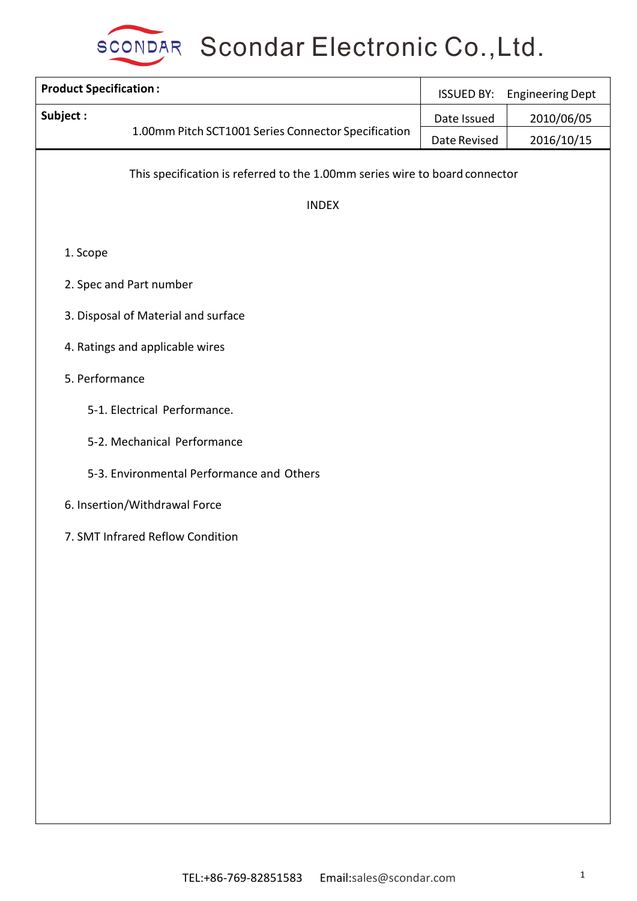

| <b>Product Specification:</b> |                                                                             | <b>ISSUED BY:</b> | <b>Engineering Dept</b> |  |  |  |  |
|-------------------------------|-----------------------------------------------------------------------------|-------------------|-------------------------|--|--|--|--|
| Subject:                      |                                                                             | Date Issued       | 2010/06/05              |  |  |  |  |
|                               | 1.00mm Pitch SCT1001 Series Connector Specification                         | Date Revised      | 2016/10/15              |  |  |  |  |
|                               | This specification is referred to the 1.00mm series wire to board connector |                   |                         |  |  |  |  |
|                               | <b>INDEX</b>                                                                |                   |                         |  |  |  |  |
| 1. Scope                      |                                                                             |                   |                         |  |  |  |  |
|                               | 2. Spec and Part number                                                     |                   |                         |  |  |  |  |
|                               | 3. Disposal of Material and surface                                         |                   |                         |  |  |  |  |
|                               | 4. Ratings and applicable wires                                             |                   |                         |  |  |  |  |
| 5. Performance                |                                                                             |                   |                         |  |  |  |  |
|                               | 5-1. Electrical Performance.                                                |                   |                         |  |  |  |  |
|                               | 5-2. Mechanical Performance                                                 |                   |                         |  |  |  |  |
|                               | 5-3. Environmental Performance and Others                                   |                   |                         |  |  |  |  |
|                               | 6. Insertion/Withdrawal Force                                               |                   |                         |  |  |  |  |
|                               | 7. SMT Infrared Reflow Condition                                            |                   |                         |  |  |  |  |
|                               |                                                                             |                   |                         |  |  |  |  |
|                               |                                                                             |                   |                         |  |  |  |  |
|                               |                                                                             |                   |                         |  |  |  |  |
|                               |                                                                             |                   |                         |  |  |  |  |
|                               |                                                                             |                   |                         |  |  |  |  |
|                               |                                                                             |                   |                         |  |  |  |  |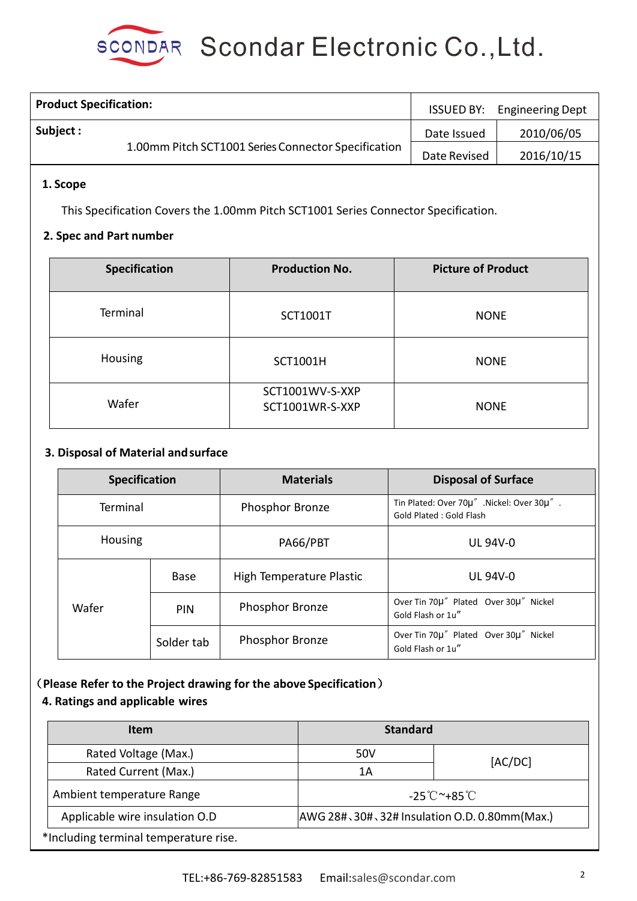| <b>Product Specification:</b>                       |              | <b>ISSUED BY:</b> Engineering Dept |
|-----------------------------------------------------|--------------|------------------------------------|
| Subject :                                           | Date Issued  | 2010/06/05                         |
| 1.00mm Pitch SCT1001 Series Connector Specification | Date Revised | 2016/10/15                         |

### **1. Scope**

This Specification Covers the 1.00mm Pitch SCT1001 Series Connector Specification.

#### **2. Spec and Part number**

| <b>Specification</b> | <b>Production No.</b>              | <b>Picture of Product</b> |
|----------------------|------------------------------------|---------------------------|
| Terminal             | <b>SCT1001T</b>                    | <b>NONE</b>               |
| Housing              | <b>SCT1001H</b>                    | <b>NONE</b>               |
| Wafer                | SCT1001WV-S-XXP<br>SCT1001WR-S-XXP | <b>NONE</b>               |

### **3. Disposal of Material andsurface**

| <b>Specification</b>       |             | <b>Materials</b>         | <b>Disposal of Surface</b>                                            |
|----------------------------|-------------|--------------------------|-----------------------------------------------------------------------|
| Terminal<br><b>Housing</b> |             | Phosphor Bronze          | Tin Plated: Over 70µ" .Nickel: Over 30µ".<br>Gold Plated : Gold Flash |
|                            |             | PA66/PBT                 | <b>UL 94V-0</b>                                                       |
|                            | <b>Base</b> | High Temperature Plastic | <b>UL 94V-0</b>                                                       |
| Wafer                      | <b>PIN</b>  | Phosphor Bronze          | Over Tin 70µ" Plated Over 30µ" Nickel<br>Gold Flash or 1u"            |
|                            | Solder tab  | Phosphor Bronze          | Over Tin 70µ" Plated Over 30µ" Nickel<br>Gold Flash or 1u"            |

# (**Please Refer to the Project drawing for the above Specification**)

#### **4. Ratings and applicable wires**

| <b>Item</b>                                                                    |     | <b>Standard</b> |  |  |
|--------------------------------------------------------------------------------|-----|-----------------|--|--|
| Rated Voltage (Max.)                                                           | 50V | [AC/DC]         |  |  |
| Rated Current (Max.)                                                           | 1Α  |                 |  |  |
| Ambient temperature Range<br>$-25^{\circ}$ C $^{\sim}+85^{\circ}$ C            |     |                 |  |  |
| Applicable wire insulation O.D<br>AWG 28#、30#、32# Insulation O.D. 0.80mm(Max.) |     |                 |  |  |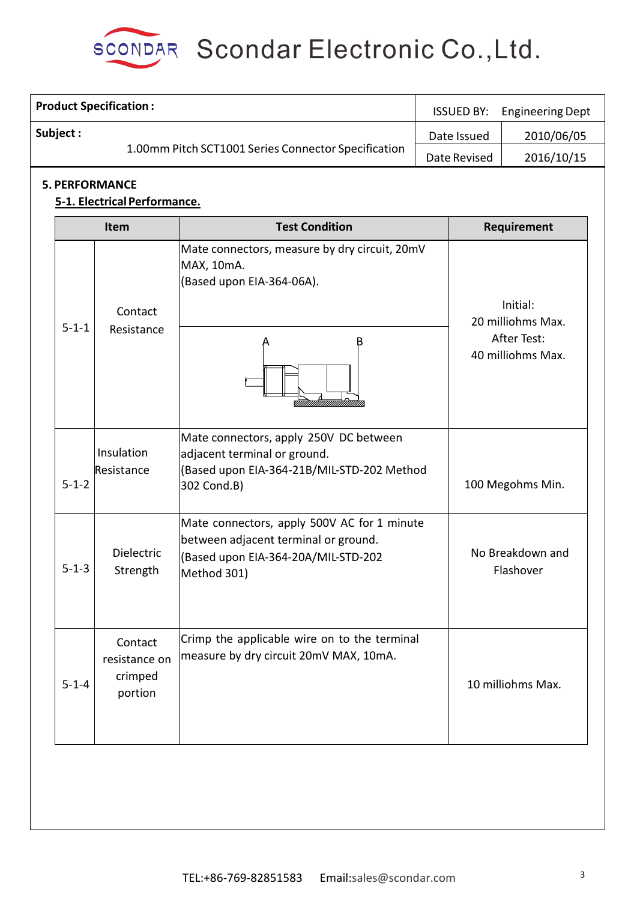

|                                                                                                              | <b>Product Specification:</b>                         |                                                                                                                                           |  | <b>ISSUED BY:</b>                                                 | <b>Engineering Dept</b>       |
|--------------------------------------------------------------------------------------------------------------|-------------------------------------------------------|-------------------------------------------------------------------------------------------------------------------------------------------|--|-------------------------------------------------------------------|-------------------------------|
| Subject:                                                                                                     |                                                       | 1.00mm Pitch SCT1001 Series Connector Specification                                                                                       |  | Date Issued<br>Date Revised                                       | 2010/06/05<br>2016/10/15      |
|                                                                                                              | <b>5. PERFORMANCE</b><br>5-1. Electrical Performance. |                                                                                                                                           |  |                                                                   |                               |
|                                                                                                              | Item                                                  | <b>Test Condition</b>                                                                                                                     |  |                                                                   | Requirement                   |
| MAX, 10mA.<br>Contact<br>$5 - 1 - 1$<br>Resistance<br>Insulation<br>Resistance<br>$5 - 1 - 2$<br>302 Cond.B) |                                                       | Mate connectors, measure by dry circuit, 20mV<br>(Based upon EIA-364-06A).<br>В                                                           |  | Initial:<br>20 milliohms Max.<br>After Test:<br>40 milliohms Max. |                               |
|                                                                                                              |                                                       | Mate connectors, apply 250V DC between<br>adjacent terminal or ground.<br>(Based upon EIA-364-21B/MIL-STD-202 Method                      |  |                                                                   | 100 Megohms Min.              |
| $5 - 1 - 3$                                                                                                  | <b>Dielectric</b><br>Strength                         | Mate connectors, apply 500V AC for 1 minute<br>between adjacent terminal or ground.<br>(Based upon EIA-364-20A/MIL-STD-202<br>Method 301) |  |                                                                   | No Breakdown and<br>Flashover |
| $5 - 1 - 4$                                                                                                  | Contact<br>resistance on<br>crimped<br>portion        | Crimp the applicable wire on to the terminal<br>measure by dry circuit 20mV MAX, 10mA.                                                    |  |                                                                   | 10 milliohms Max.             |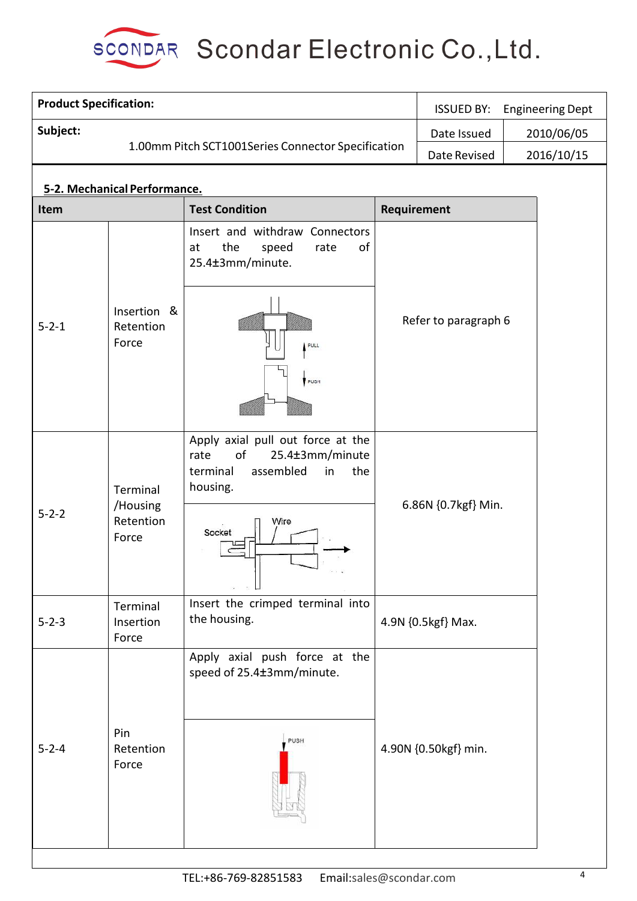

| <b>Product Specification:</b> |                                   |                                                                                                                      |             | <b>ISSUED BY:</b>    |  | <b>Engineering Dept</b> |
|-------------------------------|-----------------------------------|----------------------------------------------------------------------------------------------------------------------|-------------|----------------------|--|-------------------------|
| Subject:                      |                                   |                                                                                                                      |             | Date Issued          |  | 2010/06/05              |
|                               |                                   | 1.00mm Pitch SCT1001Series Connector Specification                                                                   |             | Date Revised         |  | 2016/10/15              |
|                               | 5-2. Mechanical Performance.      |                                                                                                                      |             |                      |  |                         |
| Item                          |                                   | <b>Test Condition</b>                                                                                                | Requirement |                      |  |                         |
|                               |                                   | Insert and withdraw Connectors<br>the<br>of<br>speed<br>at<br>rate<br>25.4±3mm/minute.                               |             |                      |  |                         |
| $5 - 2 - 1$                   | Insertion &<br>Retention<br>Force | PULL<br>PUSH                                                                                                         |             | Refer to paragraph 6 |  |                         |
|                               | Terminal<br>/Housing              | Apply axial pull out force at the<br>25.4±3mm/minute<br>of<br>rate<br>assembled<br>terminal<br>the<br>in<br>housing. |             | 6.86N {0.7kgf} Min.  |  |                         |
| $5 - 2 - 2$                   | Retention<br>Force                | Wire<br>Socket                                                                                                       |             |                      |  |                         |
| $5 - 2 - 3$                   | Terminal<br>Insertion<br>Force    | Insert the crimped terminal into<br>the housing.                                                                     |             | 4.9N {0.5kgf} Max.   |  |                         |
| $5 - 2 - 4$                   | Pin<br>Retention<br>Force         | Apply axial push force at the<br>speed of 25.4±3mm/minute.<br>PUSH                                                   |             | 4.90N {0.50kgf} min. |  |                         |
|                               |                                   |                                                                                                                      |             |                      |  |                         |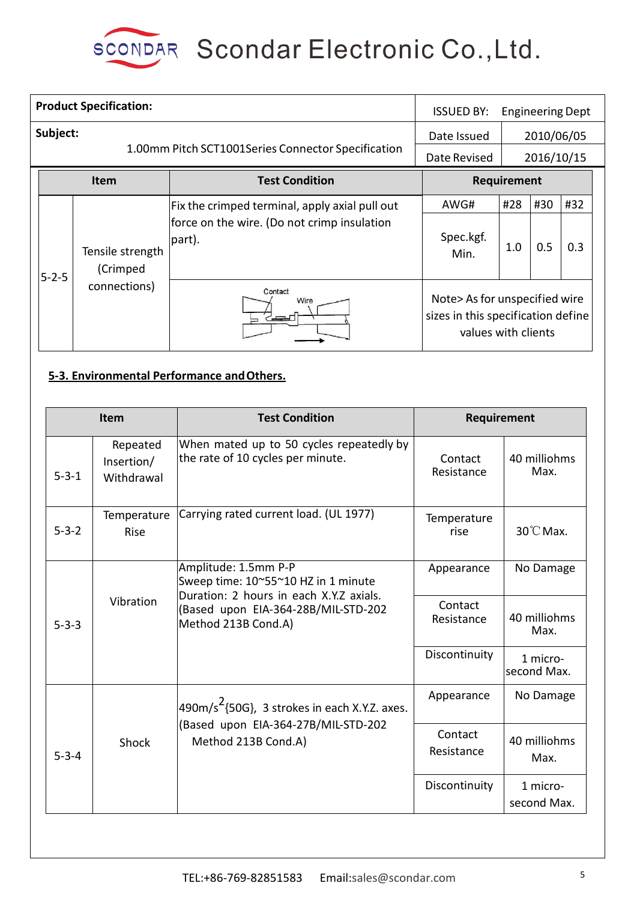

|             |                                                                | <b>Product Specification:</b>                                                                               |                             | <b>ISSUED BY:</b>                                                                          |                          |            | <b>Engineering Dept</b> |
|-------------|----------------------------------------------------------------|-------------------------------------------------------------------------------------------------------------|-----------------------------|--------------------------------------------------------------------------------------------|--------------------------|------------|-------------------------|
|             | Subject:<br>1.00mm Pitch SCT1001Series Connector Specification |                                                                                                             |                             |                                                                                            | 2010/06/05<br>2016/10/15 |            |                         |
|             |                                                                | <b>Item</b>                                                                                                 | <b>Test Condition</b>       |                                                                                            | Requirement              |            |                         |
| $5 - 2 - 5$ | Tensile strength<br>(Crimped                                   | Fix the crimped terminal, apply axial pull out<br>force on the wire. (Do not crimp insulation<br>$ part$ ). | AWG#<br>Spec.kgf.<br>Min.   | #28<br>1.0                                                                                 | #30<br>0.5               | #32<br>0.3 |                         |
|             | connections)                                                   |                                                                                                             | Contact<br>Wire<br><u>—</u> | Note> As for unspecified wire<br>sizes in this specification define<br>values with clients |                          |            |                         |

## **5-3. Environmental Performance andOthers.**

| Item        |                                      | <b>Test Condition</b>                                                                                                                                                | Requirement           |                         |  |
|-------------|--------------------------------------|----------------------------------------------------------------------------------------------------------------------------------------------------------------------|-----------------------|-------------------------|--|
| $5 - 3 - 1$ | Repeated<br>Insertion/<br>Withdrawal | When mated up to 50 cycles repeatedly by<br>the rate of 10 cycles per minute.                                                                                        | Contact<br>Resistance | 40 milliohms<br>Max.    |  |
| $5 - 3 - 2$ | Temperature<br>Rise                  | Carrying rated current load. (UL 1977)                                                                                                                               | Temperature<br>rise   | $30^{\circ}$ C Max.     |  |
|             | Vibration                            | Amplitude: 1.5mm P-P<br>Sweep time: 10~55~10 HZ in 1 minute<br>Duration: 2 hours in each X.Y.Z axials.<br>(Based upon EIA-364-28B/MIL-STD-202<br>Method 213B Cond.A) | Appearance            | No Damage               |  |
| $5 - 3 - 3$ |                                      |                                                                                                                                                                      | Contact<br>Resistance | 40 milliohms<br>Max.    |  |
|             |                                      |                                                                                                                                                                      | Discontinuity         | 1 micro-<br>second Max. |  |
|             | Shock                                | $490m/s2$ {50G}, 3 strokes in each X.Y.Z. axes.                                                                                                                      | Appearance            | No Damage               |  |
| $5 - 3 - 4$ |                                      | (Based upon EIA-364-27B/MIL-STD-202<br>Method 213B Cond.A)                                                                                                           | Contact<br>Resistance | 40 milliohms<br>Max.    |  |
|             |                                      |                                                                                                                                                                      | Discontinuity         | 1 micro-<br>second Max. |  |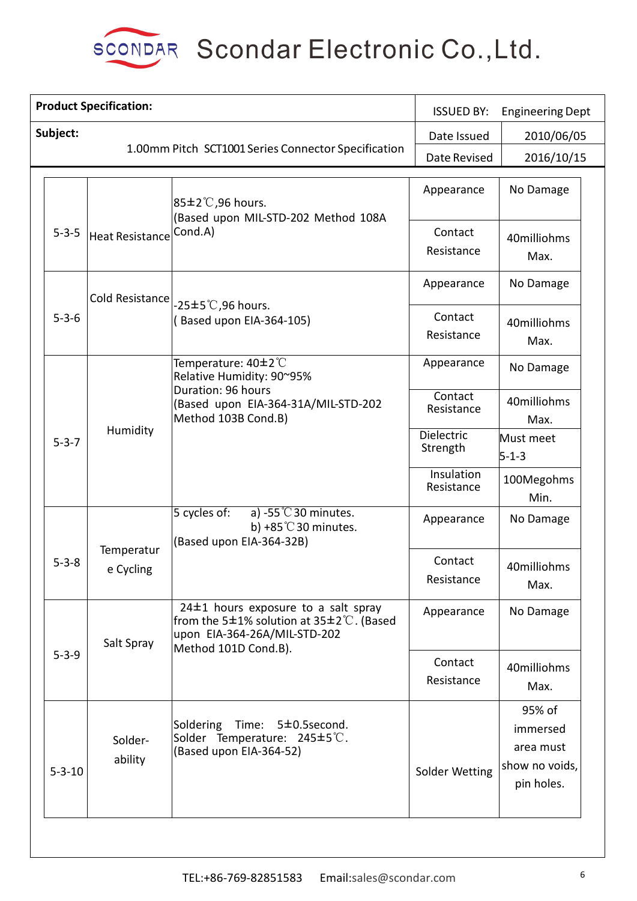

|              | <b>Product Specification:</b> |                                                                                                                               | <b>ISSUED BY:</b>        | <b>Engineering Dept</b>                                         |  |
|--------------|-------------------------------|-------------------------------------------------------------------------------------------------------------------------------|--------------------------|-----------------------------------------------------------------|--|
| Subject:     |                               |                                                                                                                               | Date Issued              | 2010/06/05                                                      |  |
|              |                               | 1.00mm Pitch SCT1001 Series Connector Specification                                                                           | Date Revised             | 2016/10/15                                                      |  |
|              |                               | $ 85\pm2\degree$ C,96 hours.                                                                                                  | Appearance               | No Damage                                                       |  |
| $5 - 3 - 5$  | <b>Heat Resistance</b>        | (Based upon MIL-STD-202 Method 108A<br>Cond.A)                                                                                | Contact<br>Resistance    | 40milliohms<br>Max.                                             |  |
|              | Cold Resistance               |                                                                                                                               | Appearance               | No Damage                                                       |  |
| $5 - 3 - 6$  |                               | $-25\pm5^{\circ}$ C,96 hours.<br>Based upon EIA-364-105)                                                                      | Contact<br>Resistance    | 40milliohms<br>Max.                                             |  |
|              |                               | Temperature: 40±2°C<br>Relative Humidity: 90~95%                                                                              | Appearance               | No Damage                                                       |  |
|              | Humidity                      | Duration: 96 hours<br>(Based upon EIA-364-31A/MIL-STD-202<br>Method 103B Cond.B)                                              | Contact<br>Resistance    | 40milliohms<br>Max.                                             |  |
| $5 - 3 - 7$  |                               |                                                                                                                               | Dielectric<br>Strength   | Must meet<br>$5 - 1 - 3$                                        |  |
|              |                               |                                                                                                                               | Insulation<br>Resistance | 100Megohms<br>Min.                                              |  |
|              | Temperatur<br>e Cycling       | $5$ cycles of:<br>a) -55 $°C$ 30 minutes.<br>b) +85 $^{\circ}$ C 30 minutes.<br>(Based upon EIA-364-32B)                      | Appearance               | No Damage                                                       |  |
| $5 - 3 - 8$  |                               |                                                                                                                               | Contact<br>Resistance    | 40milliohms<br>Max.                                             |  |
|              | Salt Spray                    | $24±1$ hours exposure to a salt spray<br>from the 5 $\pm$ 1% solution at 35 $\pm$ 2°C. (Based<br>upon EIA-364-26A/MIL-STD-202 | Appearance               | No Damage                                                       |  |
| $5 - 3 - 9$  |                               | Method 101D Cond.B).                                                                                                          | Contact<br>Resistance    | 40milliohms<br>Max.                                             |  |
| $5 - 3 - 10$ | Solder-<br>ability            | Soldering<br>Time: 5±0.5second.<br>Solder Temperature: 245±5℃.<br>(Based upon EIA-364-52)                                     | Solder Wetting           | 95% of<br>immersed<br>area must<br>show no voids,<br>pin holes. |  |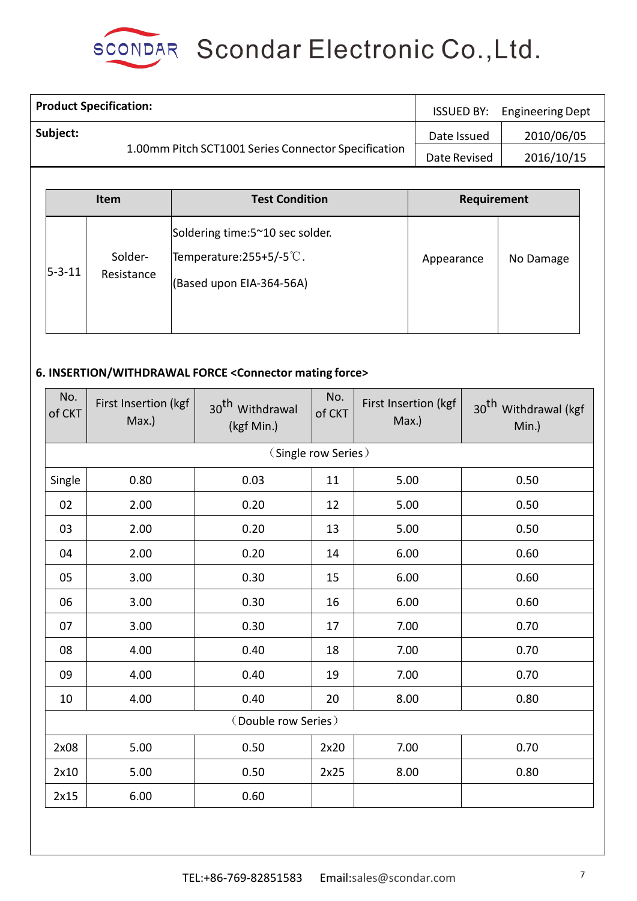

|  |                               | <b>Product Specification:</b> | <b>ISSUED BY:</b>                                            | <b>Engineering Dept</b> |            |
|--|-------------------------------|-------------------------------|--------------------------------------------------------------|-------------------------|------------|
|  | Subject:<br>Date Issued       |                               |                                                              |                         | 2010/06/05 |
|  |                               |                               | 1.00mm Pitch SCT1001 Series Connector Specification          | Date Revised            | 2016/10/15 |
|  |                               |                               |                                                              |                         |            |
|  | <b>Test Condition</b><br>Item |                               | Requirement                                                  |                         |            |
|  |                               | Solder-                       | Soldering time:5~10 sec solder.<br>Temperature: 255+5/-5 °C. | Appearance              | No Damage  |
|  | $5 - 3 - 11$                  | Resistance                    | (Based upon EIA-364-56A)                                     |                         |            |
|  |                               |                               |                                                              |                         |            |

## **6. INSERTION/WITHDRAWAL FORCE <Connector mating force>**

| No.<br>of CKT | First Insertion (kgf<br>Max.) | 30 <sup>th</sup> Withdrawal<br>(kgf Min.) | No.<br>of CKT       | First Insertion (kgf<br>Max.) | 30 <sup>th</sup> Withdrawal (kgf<br>Min.) |
|---------------|-------------------------------|-------------------------------------------|---------------------|-------------------------------|-------------------------------------------|
|               |                               |                                           | (Single row Series) |                               |                                           |
| Single        | 0.80                          | 0.03                                      | 11                  | 5.00                          | 0.50                                      |
| 02            | 2.00                          | 0.20                                      | 12                  | 5.00                          | 0.50                                      |
| 03            | 2.00                          | 0.20                                      | 13                  | 5.00                          | 0.50                                      |
| 04            | 2.00                          | 0.20                                      | 14                  | 6.00                          | 0.60                                      |
| 05            | 3.00                          | 0.30                                      | 15                  | 6.00                          | 0.60                                      |
| 06            | 3.00                          | 0.30                                      | 16                  | 6.00                          | 0.60                                      |
| 07            | 3.00                          | 0.30                                      | 17                  | 7.00                          | 0.70                                      |
| 08            | 4.00                          | 0.40                                      | 18                  | 7.00                          | 0.70                                      |
| 09            | 4.00                          | 0.40                                      | 19                  | 7.00                          | 0.70                                      |
| 10            | 4.00                          | 0.40                                      | 20                  | 8.00                          | 0.80                                      |
|               |                               | (Double row Series)                       |                     |                               |                                           |
| 2x08          | 5.00                          | 0.50                                      | 2x20                | 7.00                          | 0.70                                      |
| 2x10          | 5.00                          | 0.50                                      | 2x25                | 8.00                          | 0.80                                      |
| 2x15          | 6.00                          | 0.60                                      |                     |                               |                                           |